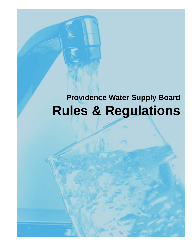# **Providence Water Supply Board Rules & Regulations**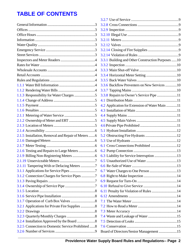# **TABLE OF CONTENTS**

|                                                    | 3.3.1 Building and Other Construction Purposes 10 |  |
|----------------------------------------------------|---------------------------------------------------|--|
|                                                    |                                                   |  |
|                                                    |                                                   |  |
|                                                    |                                                   |  |
|                                                    |                                                   |  |
|                                                    | 3.3.6 Backflow Preventers on New Services 10      |  |
|                                                    |                                                   |  |
|                                                    | 3.3.8 Repairs to Owner's Service Pipe 11          |  |
|                                                    |                                                   |  |
|                                                    | 4.2 Application for Extension of Water Main 11    |  |
|                                                    |                                                   |  |
|                                                    |                                                   |  |
|                                                    |                                                   |  |
|                                                    |                                                   |  |
|                                                    |                                                   |  |
| 2.1.5 Installation, Removal and Repair of Meters 6 |                                                   |  |
|                                                    |                                                   |  |
|                                                    |                                                   |  |
|                                                    |                                                   |  |
|                                                    | 6.3 Liability for Service Interruption 13         |  |
|                                                    |                                                   |  |
|                                                    |                                                   |  |
|                                                    |                                                   |  |
| 3.1.2 Connection Charges for Service Pipes 7       |                                                   |  |
|                                                    |                                                   |  |
|                                                    |                                                   |  |
|                                                    |                                                   |  |
|                                                    |                                                   |  |
|                                                    |                                                   |  |
|                                                    |                                                   |  |
|                                                    |                                                   |  |
|                                                    |                                                   |  |
|                                                    |                                                   |  |
| 3.2.5 Connection to Domestic Service Prohibited 8  |                                                   |  |
|                                                    | Board of Directors/Senior Management 15           |  |
|                                                    |                                                   |  |

| 3.3.1 Building and Other Construction Purposes 10 |
|---------------------------------------------------|
|                                                   |
|                                                   |
|                                                   |
|                                                   |
| 3.3.6 Backflow Preventers on New Services 10      |
|                                                   |
| 3.3.8 Repairs to Owner's Service Pipe 11          |
|                                                   |
| 4.2 Application for Extension of Water Main 11    |
|                                                   |
|                                                   |
|                                                   |
|                                                   |
|                                                   |
|                                                   |
|                                                   |
|                                                   |
|                                                   |
| 6.3 Liability for Service Interruption 13         |
|                                                   |
|                                                   |
|                                                   |
|                                                   |
|                                                   |
|                                                   |
|                                                   |
|                                                   |
|                                                   |
|                                                   |
|                                                   |
|                                                   |
|                                                   |
|                                                   |
| Board of Directors/Senior Management 15           |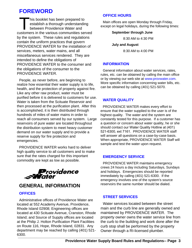# **FOREWORD**

This booklet has been prepared to<br>establish a thorough understandi<br>between Providence Water and establish a thorough understanding between Providence Water and customers in the various communities served by the system. These rules and regulations contain the uniform practices that govern PROVIDENCE WATER for the installation of services, meters, water mains, and all miscellaneous services rendered. They are intended to define the obligations of PROVIDENCE WATER to the consumer and the obligations of the consumer to the PROVIDENCE WATER.

People, as never before, are beginning to realize how essential their water supply is to life, health, and the protection of property against fire. Like any other raw product, water must be purified before it is delivered to customers for use. Water is taken from the Scituate Reservoir and then processed at the purification plant. After this is accomplished, it is then distributed through hundreds of miles of water mains in order to reach all consumers served by our system. Large reservoirs of pure water are located throughout the distribution system to meet heavy customer demand on our water supply and to provide a reserve supply for fire protection and emergencies.

PROVIDENCE WATER works hard to deliver high quality service to all customers and to make sure that the rates charged for this important commodity are kept as low as possible.



## **GENERAL INFORMATION**

#### **OFFICES**

**\_\_\_\_\_\_\_\_\_\_\_\_\_\_\_\_\_\_\_\_\_\_\_\_\_\_\_\_\_\_\_\_\_\_\_\_\_\_\_\_\_\_\_\_\_\_\_\_\_\_\_\_\_\_\_\_\_\_\_\_\_\_\_\_\_\_\_\_\_\_\_\_\_\_\_\_\_\_** Administrative offices of Providence Water are located at 552 Academy Avenue, Providence, Rhode Island 02908; Engineering offices are located at 430 Scituate Avenue, Cranston, Rhode Island; and Source of Supply offices are located at the Philip J. Holton Purification Plant Facilities on Route 116, Hope, Rhode Island, 02831. Any department may be reached by calling (401) 521- 6300.

#### **OFFICE HOURS**

Main offices are open Monday through Friday, except on legal holidays, during the following times:

#### **September through June**

8:30 AM to 4:30 PM

**July and August**

8:30 AM to 4:00 PM

#### **INFORMATION**

General information about water services, rates, rules, etc. can be obtained by calling the main office or by viewing our web site at www.provwater.com. More specific information concerning water bills, etc. can be obtained by calling (401) 521-5070.

#### **WATER QUALITY**

PROVIDENCE WATER makes every effort to ensure that the water supplied to the user is of the highest quality. The water and the system are constantly tested for this purpose. If a customer has a question or concern about water quality, he or she should contact our Water Quality Hotline at (401) 521-6300, ext 7161. PROVIDENCE WATER staff will answer all questions on a case-by-case basis. When appropriate, PROVIDENCE WATER Staff will sample and test the water upon request.

#### **EMERGENCY SERVICE**

PROVIDENCE WATER maintains emergency crews 24 hours a day including Saturdays, Sundays and holidays. Emergencies should be reported immediately by calling (401) 521-6300. If the emergency involves one of the system's source reservoirs the same number should be dialed.

#### **STREET SERVICES**

Water services located between the street main and the curb line are generally owned and maintained by PROVIDENCE WATER. The property owner owns the water service line from the curb to the building and work done after the curb stop shall be performed by the property Owner through a RI-licensed plumber.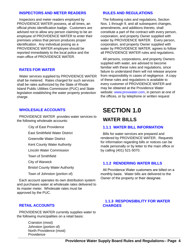#### **INSPECTORS AND METER READERS**

Inspectors and meter readers employed by PROVIDENCE WATER possess, at all times, an official photo identification badge. Customers are advised not to allow any person claiming to be an employee of PROVIDENCE WATER to enter their premises unless that person produces proper identification. Any individual posing as a PROVIDENCE WATER employee should be reported immediately to the local police and the main office of PROVIDENCE WATER.

#### **RATES FOR WATER**

Water services supplied by PROVIDENCE WATER shall be metered. Rates charged for such services shall be rates authorized by the State of Rhode Island Public Utilities Commission (PUC) and State legislation establishing the water property protection charge.

#### **WHOLESALE ACCOUNTS**

PROVIDENCE WATER provides water services to the following wholesale accounts:

City of East Providence

East Smithfield Water District

Greenville Water District

Kent County Water Authority

Lincoln Water Commission

Town of Smithfield

City of Warwick

Bristol County Water Authority

Town of Johnston (portion of)

Each account operates its own distribution system and purchases water at wholesale rates delivered to its master meter. Wholesale rates must be approved by the PUC.

#### **RETAIL ACCOUNTS**

PROVIDENCE WATER currently supplies water to the following municipalities on a retail basis:

**\_\_\_\_\_\_\_\_\_\_\_\_\_\_\_\_\_\_\_\_\_\_\_\_\_\_\_\_\_\_\_\_\_\_\_\_\_\_\_\_\_\_\_\_\_\_\_\_\_\_\_\_\_\_\_\_\_\_\_\_\_\_\_\_\_\_\_\_\_\_\_\_\_\_\_\_\_\_** Cranston (most) Johnston (portion of) North Providence (most) **Providence** 

#### **RULES AND REGULATIONS**

The following rules and regulations, Section Nos. 1 through 9, and all subsequent changes, amendments, and additions thereto, shall constitute a part of the contract with every person, corporation, and property Owner supplied with water by PROVIDENCE WATER. Every person, corporation, and property Owner supplied with water by PROVIDENCE WATER, agrees to follow all PROVIDENCE WATER rules and regulations.

All persons, corporations, and property Owners supplied with water, are advised to become familiar with these rules and regulations, since failure to understand them will not release anyone from responsibility in cases of negligence. A copy of these rules and regulations is available to every customer of PROVIDENCE WATER and may be obtained at the Providence Water website: www.provwater.com, in person at one of the offices, or by telephone or written request

# **SECTION 1.0**

### **WATER BILLS**

#### **1.1.1 WATER BILL INFORMATION**

Bills for water services are prepared and rendered by PROVIDENCE WATER. Requests for information regarding bills or notices can be made personally or by letter to the main office or by calling (401) 521-5070.

#### **1.1.2 RENDERING WATER BILLS**

All Providence Water customers are billed on a monthly basis. Water bills are delivered to the Owner of the property or their designee.

#### **1.1.3 RESPONSIBILITY FOR WATER CHARGES**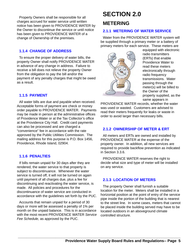Property Owners shall be responsible for all charges accrued for water service until written notice has been given to PROVIDENCE WATER by the Owner to discontinue the service or until notice has been given to PROVIDENCE WATER of a change of Ownership of the premises.

#### **1.1.4 CHANGE OF ADDRESS**

To ensure the proper delivery of water bills, the property Owner shall notify PROVIDENCE WATER in advance of any change in address. Failure to receive a bill does not relieve the property Owner from the obligation to pay the bill and/or the payment of any penalty charges that might be owed as a result.

#### **1.1.5 PAYMENT**

All water bills are due and payable when received. Acceptable forms of payment are check or money order payable to PROVIDENCE WATER. Payments may be made in person at the administrative offices of Providence Water or at the Tax Collector's office at the Providence City Hall. Credit card payments can also be processed and are charged a "convenience" fee in accordance with the rate approved by the Public Utilities Commission. The mailing address for this purpose is P.O. Box 1456, Providence, Rhode Island, 02904.

#### **1.1.6 PENALTIES**

If bills remain unpaid for 30 days after they are rendered, the water service to that property is subject to discontinuance. Whenever the water service is turned off, it will not be turned on again until payment of all charges due, plus a fee for discontinuing and reactivating the water service, is made. All policies and procedures for the discontinuance of water service are conducted in accordance with the guidelines set forth by the PUC.

Accounts that remain unpaid for a period of 30 days or more will be assessed a penalty of 1% per month on the unpaid balance. This is in accordance with the most recent PROVIDENCE WATER *Service Fee Schedule,* as approved by the PUC.

# **SECTION 2.0**

## **METERING**

#### **2.1.1 METERING OF WATER SERVICE**

Water from the PROVIDENCE WATER system will be supplied through a primary meter or a battery of primary meters for each service. These meters are



equipped with electronic radio transmitters (ERTs) that enable Providence Water to read these meters electronically through radio frequency transmissions. Water passing through the meter(s) will be billed to the Owner of the property supplied, as the same appears in

PROVIDENCE WATER records, whether the water was used or wasted. Customers are advised to read their meters frequently for leaks or waste in order to avoid larger than necessary bills.

#### **2.1.2 OWNERSHIP OF METER & ERT**

All meters and ERTs are owned and installed by PROVIDENCE WATER at the expense of the property owner. In addition, all new services are required to provide backflow prevention as indicated in Section 3.3.6.

PROVIDENCE WATER reserves the right to decide what size and type of meter will be installed on any service.

#### **2.1.3 LOCATION OF METERS**

The property Owner shall furnish a suitable location for the meter. Meters shall be installed in a horizontal position at the point of entry of the service pipe inside the portion of the building that is nearest to the street line. In some cases, meters that cannot be placed inside the building served may have to be located outdoors in an aboveground climate controlled structure.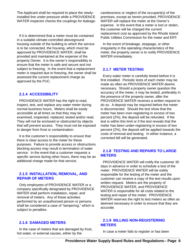The Applicant shall be required to place the newlyinstalled line under pressure while a PROVIDENCE WATER inspector checks the couplings for leakage.

If it is determined that a meter must be contained in a suitable climate-controlled aboveground housing outside of the building to which the service is to be connected, the housing, which must be approved by PROVIDENCE WATER, shall be provided and maintained at the expense of the property Owner. It is the owner's responsibility to ensure that the meter is safe and secure and not subject to freezing. In the event that a replacement meter is required due to freezing, the owner shall be assessed the current replacement charge as approved by the PUC.

#### **2.1.4 ACCESSIBILITY**

PROVIDENCE WATER has the right to read, inspect, test, and replace any water meter during normal business hours**.** Meters shall be easily accessible at all times so that they may be examined, inspected, replaced, tested and/or read. They will not be enclosed or obstructed by objects that will prevent access. They must not be exposed to danger from frost or contamination.

It is the customer's responsibility to ensure that there is clear access to the meter for these purposes. Failure to provide access or obstructions blocking access may result in termination of water service. In the event that a customer requests a specific service during other hours, there may be an additional charge made for that service.

#### **2.1.5 INSTALLATION, REMOVAL, AND REPAIR OF METERS**

Only employees of PROVIDENCE WATER or a company specifically designated by PROVIDENCE WATER shall perform installation, repair, and removal of meters. Any of these activities performed by an unauthorized person or persons shall be considered a case of "tampering," which is subject to penalties.

#### **2.1.6 DAMAGED METERS**

**\_\_\_\_\_\_\_\_\_\_\_\_\_\_\_\_\_\_\_\_\_\_\_\_\_\_\_\_\_\_\_\_\_\_\_\_\_\_\_\_\_\_\_\_\_\_\_\_\_\_\_\_\_\_\_\_\_\_\_\_\_\_\_\_\_\_\_\_\_\_\_\_\_\_\_\_\_\_** In the case of meters that are damaged by frost, hot water, or external causes, either by the

carelessness or neglect of the occupant(s) of the premises, except as herein provided, PROVIDENCE WATER will replace the meter at the Owner's expense. In the event that a meter is lost or stolen, the customer will be charged the current replacement cost as approved by the Rhode Island Public Utilities Commission for the meter and ERT.

In the event of breakage, stoppage, or other irregularity in the operating characteristics of the meter, the property owner is to notify PROVIDENCE WATER immediately.

#### **2.1.7 METER TESTING**

Every water meter is carefully tested before it is first installed. Periodic tests of each meter may be made as often as PROVIDENCE WATER deems necessary. Should a property owner question the accuracy of the meter, it may be tested, preferably in the presence of the property owner, after the PROVIDENCE WATER receives a written request to do so. A deposit may be required before the meter is disconnected. Should the test show that the meter has been over-registering in excess of two percent (2%), the deposit will be refunded. If the test is within this limit or if the test reveals that the meter has been under-registering in excess of two percent (2%), the deposit will be applied towards the costs of removal and testing. In either instance, a corrected bill will be generated.

#### **2.1.8 TESTING AND REPAIRS TO LARGE METERS**

PROVIDENCE WATER will notify the customer 30 days in advance in order to schedule a test of the meter. PROVIDENCE WATER will be solely responsible for the testing of the meter and the customer can receive a copy of the test results upon written request. Meters are the property of PROVIDENCE WATER, and PROVIDENCE WATER is responsible for all costs related to the testing and repair of the meter. PROVIDENCE WATER reserves the right to test meters as often as deemed necessary in order to ensure that they are accurate.

#### **2.1.9 BILLING NON-REGISTERING METERS**

In case a meter fails to register or has been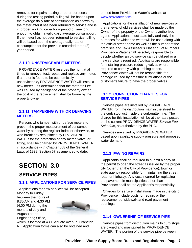removed for repairs, testing or other purposes during the testing period, billing will be based upon the average daily rate of consumption as shown by the meter after it has been returned to service and is in proper working order for a period of time long enough to obtain a valid daily average consumption. If the meter has not been returned to service, billing will be based upon the average daily rate of consumption for the previous recorded three (3) year period.

#### **2.1.10 UNSERVICEABLE METERS**

PROVIDENCE WATER reserves the right at all times to remove, test, repair, and replace any meter. If a meter is found to be economically unserviceable**,** PROVIDENCE WATER will install a new meter. If it determined that the meter failure was caused by negligence of the property owner, the cost of the replacement shall be borne by the property owner.

#### **2.1.11 TAMPERING WITH OR DEFACING METERS**

Persons who tamper with or deface meters to prevent the proper measurement of consumed water by altering the register index or otherwise, or who break any seal placed by PROVIDENCE WATER for the protection of any meter, valve, or fitting, shall be charged by PROVIDENCE WATER in accordance with Chapter 608 of the General Laws of 1938, Section 57 as amended to date.

# **SECTION 3.0**

## **SERVICE PIPES**

#### **3.1.1 APPLICATIONS FOR SERVICE PIPES**

Applications for new services will be accepted Monday to Friday

between the hours of 8:30 AM and 4:30 PM (4:00 PM during the months of July and August) at the Engineering Office,



which is located at 430 Scituate Avenue, Cranston, RI. Application forms can also be obtained and

printed from Providence Water's website at www.provwater.com.

Applications for the installation of new services or the renewal of old services shall be made by the Owner of the property or the Owner's authorized agent. Applications must state fully and truly the purposes for which the water will be used along with the official street name as well as the number of the premises and Tax Assessor's Plat and Lot Numbers. Providence Water shall be solely responsible to decide whether an old service can be utilized or a new service is required. Applicants are responsible for installing pressure reducing valves where required to comply with plumbing codes. Providence Water will not be responsible for damage caused by pressure fluctuations or the customer's failure to have the proper valves.

#### **3.1.2 CONNECTION CHARGES FOR SERVICE PIPES**

Service pipes are installed by PROVIDENCE WATER from the distribution main in the street to the curb stop just inside the curb/gutter line. The charge for this installation will be at the rates posted on the current PROVIDENCE WATER *Service Fee Schedule*, as authorized by the PUC.

Services are sized by PROVIDENCE WATER based upon available supply pressure and proposed water demand.

#### **3.1.3 PAVING REPAIRS**

Applicants shall be required to submit a copy of the permit to open the street as issued by the proper city (other than the City of Providence), town or state agency responsible for maintaining the street, road, or highway. Any cost incurred for replacing the pavement in municipalities other than Providence shall be the Applicant's responsibility.

Charges for service installations made in the city of Providence include costs for repairs or the replacement of sidewalk and road pavement openings.

#### **3.1.4 OWNERSHIP OF SERVICE PIPE**

Service pipes from distribution mains to curb stops are owned and maintained by PROVIDENCE WATER. The portion of the service pipe between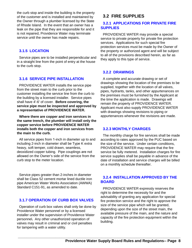the curb stop and inside the building is the property of the customer and is installed and maintained by the Owner through a plumber licensed by the State of Rhode Island. In the event that an owner has a leak on the pipe that they are responsible for and it is not repaired, Providence Water may terminate service until the owner has made repairs.

#### **3.1.5 LOCATION**

Service pipes are to be installed perpendicular and in a straight line from the point of entry at the house to the curb stop.

#### **3.1.6 SERVICE PIPE INSTALLATION**

PROVIDENCE WATER installs the service pipe from the street main to the curb prior to the customer installing the service line from the curb to the building by a licensed installer. Service pipes shall have 4'-6' of cover. **Before covering, the service pipe must be inspected and approved by a representative of PROVIDENCE WATER.**

**Where there are copper and iron services in the same trench, the plumber will install only the copper service before PROVIDENCE WATER installs both the copper and iron services from the main to the curb.**

All service pipes from 1-inch in diameter up to and including 2-inch in diameter shall be Type K extra heavy, soft temper, cold drawn, seamless, deoxidized copper tubing. Pipe couplings are not allowed on the Owner's side of the service from the curb stop to the meter location.

Service pipes greater than 2-inches in diameter shall be Class 52 cement mortar lined ductile iron pipe American Water Works Association (AWWA) Standard C151-91, as amended to date.

#### **3.1.7 OPERATION OF CURB BOX VALVES**

Operation of curb box valves shall only be done by Providence Water personnel or by a licensed installer under the supervision of Providence Water personnel**.** Any other unauthorized operation of valves may result in criminal and or civil penalties for tampering with a water utility.

## **3.2 FIRE SUPPLIES**

#### **3.2.1 APPLICATIONS FOR PRIVATE FIRE SUPPLIES**

PROVIDENCE WATER may provide a special service to private property for private fire protection services. Applications for such special fire protection services must be made by the Owner of the property or authorized agent and will be subject to all of the provisions described herein, as far as they apply to this type of service.

#### **3.2.2 DRAWINGS**

A complete and accurate drawing or set of drawings showing the location of the premises to be supplied, together with the location of all valves, pipes, hydrants, tanks, and other appurtenances on the premises must be furnished by the Applicant at the time the application is made. Drawings will remain the property of PROVIDENCE WATER. Applicant must also supply PROVIDENCE WATER with drawings showing revisions to piping or appurtenances whenever the revisions are made.

#### **3.2.3 MONTHLY CHARGES**

The monthly charge for fire services shall be made according to rates approved by the PUC based on the size of the service. Under certain conditions, PROVIDENCE WATER may require that the fire service be fully metered. Installation charges for fire service supplies shall be payable in advance of the date of installation and service charges will be billed on a monthly schedule thereafter.

#### **3.2.4 INSTALLATION APPROVED BY THE BOARD**

PROVIDENCE WATER expressly reserves the right to determine the necessity for and the advisability of granting any application for special fire protection service and the right to approve the size of the service pipe which will be granted, depending upon the size of the street main, the available pressure of the main, and the nature and capacity of the fire protection equipment within the building.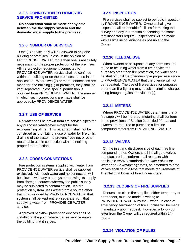#### **3.2.5 CONNECTION TO DOMESTIC SERVICE PROHIBITED**

**No connection shall be made at any time between the fire supply system and the domestic water supply to the premises.**

#### **3.2.6 NUMBER OF SERVICES**

One (1) service only will be allowed to any one building or premises unless, in the opinion of PROVIDENCE WATER, more than one is absolutely necessary for the proper protection of the premises. All fire protection equipment connected to PROVIDENCE WATER service shall be confined within the building or on the premises named in the application. Where two (2) or more connections are made for one building (1) or premises, they shall be kept separated unless special permission is obtained from PROVIDENCE WATER. The manner in which such connections are made shall be approved by PROVIDENCE WATER.

#### **3.2.7 USE OF SERVICE**

No water shall be drawn from fire service pipes for any purposes whatsoever except for the extinguishing of fire. This paragraph shall not be construed as prohibiting a use of water for fire drills, draining of the system to prevent freezing, or other reasonable use in connection with maintaining proper fire protection.

#### **3.2.8 CROSS-CONNECTIONS**

Fire protection systems supplied with water from PROVIDENCE WATER service shall be supplied exclusively with such water and no connection will be allowed with any other system drawing its supply from "foreign" sources whereby the public supply may be subjected to contamination. If a fire protection system uses water from a source other than that supplied by PROVIDENCE WATER, that system shall be kept entirely separate from that supplying water from PROVIDENCE WATER service.

Approved backflow prevention devices shall be installed at the point where the fire service enters the building that it serves.

#### **3.2.9 INSPECTION**

Fire services shall be subject to periodic inspection by PROVIDENCE WATER. Owners shall give inspectors all reasonable facilities for making the survey and any information concerning the same that inspectors require. Inspections will be made with as little inconvenience as possible to the Owner.

#### **3.2.10 ILLEGAL USE**

When owners or occupants of any premises are found to be using water from a fire service for purposes other than fire protection, the water shall be shut off until the offenders give proper assurance to PROVIDENCE WATER that the offense will not be repeated. The use of fire services for purposes other than fire-fighting may result in criminal charges being brought against the violator(s).

#### **3.2.11 METERS**

Where PROVIDENCE WATER determines that a fire supply will be metered, metering shall conform to the provisions of Section 2, entitled *Meters* and owners are required to purchase a fire line compound meter from PROVIDENCE WATER.

#### **3.2.12 VALVES**

On the inlet and discharge side of each fire line compound meter, Owners shall install gate valves manufactured to conform in all respects with applicable AWWA standards for *Gate Valves for Water and Sewerage Systems*, as amended to date. Valves shall be of a type that meets requirements of The National Board of Fire Underwriters.

#### **3.2.13 CLOSING OF FIRE SUPPLIES**

Requests to close fire supplies, either temporary or permanent, must be made in writing to PROVIDENCE WATER by the Owner. In case of emergency, termination of fire supplies will be made immediately upon request. However, a follow up letter from the Owner will be required within 24 hours.

#### **3.2.14 VIOLATION OF RULES**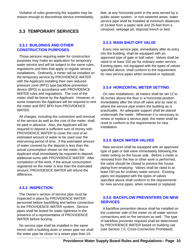Violation of rules governing fire supplies may be reason enough to discontinue service immediately.

### **3.3 TEMPORARY SERVICES**

#### **3.3.1 BUILDINGS AND OTHER CONSTRUCTION PURPOSES**

Those persons requiring water for construction purposes may make an application for temporary water service and will be subject to the same rules, regulations and fees that apply to regular service installations. Ordinarily, a meter will be installed on the temporary service by PROVIDENCE WATER with the Applicant installing their own reduced pressure zone (RPZ) type backflow prevention device (BPD) in accordance with PROVIDENCE WATER rules and regulations. The cost of the meter shall be borne by the Applicant. However, in some instances the Applicant will be required to rent the meter and RPZ BPD from PROVIDENCE WATER.

All charges, including the connection and removal of the service as well as the cost of the meter, shall be paid in advance. Also, the Applicant will be required to deposit a sufficient sum of money with PROVIDENCE WATER to cover the cost of an estimated amount of water to be used over the intervening period of time. If the estimated amount of water covered by the deposit is less than the actual consumption shown on the meter, the Applicant shall immediately be required to deposit additional sums with PROVIDENCE WATER. After completion of the work, if the actual consumption registered on the meter is less than the estimated amount, PROVIDENCE WATER will refund the difference.

#### **3.3.2 INSPECTION**

The Owner's section of service pipe must be inspected in place by PROVIDENCE WATER personnel before backfilling and before connection to the PROVIDENCE WATER system. Service pipes shall be tested for water tightness in the presence of a representative of PROVIDENCE WATER before burying.

10 Mator pipo bo olooor to a comor pipo than 10 No service pipe shall be installed in the same trench with a building drain or sewer pipe nor shall the water pipe be closer to a sewer pipe than 10-

feet, at any horizontal point in the area served by a public sewer system. In non-sewered areas, water service pipe shall be installed at minimum distances of 10-feet from a septic tank and 25-feet from a cesspool, seepage pit, disposal trench or bed.

#### **3.3.3 MAIN SHUT-OFF VALVE**

Every new service pipe, immediately after its entry into the building, shall be equipped with an approved type of gate or ball valve. Valves shall be rated to at least 150 psi for ordinary water service. Existing pipes, not equipped with the types of valves specified above, shall conform to the requirement for new service pipes when renewed or replaced.

#### **3.3.4 HORIZONTAL METER SETTING**

On new installations, all meters shall be set 12 to 36 inches above the floor in a horizontal position immediately after the shut-off valve and as near to where the service pipe enters the building as is practicable. An adequate support shall be placed underneath the meter. Whenever it is necessary to renew or replace a service pipe, the meter shall be reset to conform to the requirements for new installation.

#### **3.3.5 BACK WATER VALVES**

New services shall be equipped with an approved type of gate or ball valve immediately following the meter setting on the house side. Before a meter is removed from the line or other work is performed, the valve should be closed to prevent the house piping from emptying. Valves shall be rated to at least 150 psi for ordinary water service. Existing pipes not equipped with the types of valves specified above shall conform to the requirements for new service pipes, when renewed or replaced.

#### **3.3.6 BACKFLOW PREVENTERS ON NEW SERVICES**

A backflow prevention device shall be installed on the customer side of the meter on all water service connections and on fire services as well. The type of backflow preventer required shall be determined by PROVIDENCE WATER based on building use (see Section 7.0, Cross-Connection Prohibited).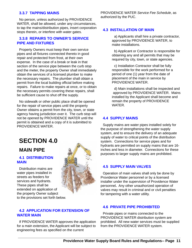#### **3.3.7 TAPPING MAINS**

No person, unless authorized by PROVIDENCE WATER, shall be allowed, under any circumstances, to tap the mains/distribution pipes, insert corporation stops therein, or interfere with water gates.

#### **3.3.8 REPAIRS TO OWNER'S SERVICE PIPE AND FIXTURES**

Property Owners must keep their own service pipes and all fixtures connected thereto in good repair and protected from frost, at their own expense. In the case of a break or leak in that section of the service pipe between the curb stop and the meter, the property Owner shall immediately obtain the services of a licensed plumber to make the necessary repairs. The plumber shall obtain a permit from the local building official before making repairs. Failure to make repairs at once, or to obtain the necessary permits covering these repairs, shall be sufficient cause to shut off the supply.

No sidewalk or other public place shall be opened for the repair of service pipes until the property Owner obtains a permit from the city, town, or state agency having jurisdiction over it. The curb stop will not be opened by PROVIDENCE WATER until the permit is obtained and a copy of it is submitted to PROVIDENCE WATER.

# **SECTION 4.0**

## **MAIN PIPE**

#### **4.1 DISTRIBUTION MAIN**

Distribution mains are water pipes installed in streets as feeders for services and hydrants. These pipes shall be extended on application of the property Owner subject to the provisions set forth below.

#### **4.2 APPLICATION FOR EXTENSION OF WATER MAIN**

If PROVIDENCE WATER approves the application for a main extension, the Applicant will be subject to engineering fees as specified on the current

PROVIDENCE WATER *Service Fee Schedule*, as authorized by the PUC.

#### **4.3 INSTALLATION OF MAIN**

a) Applicants shall hire a private contractor, approved by PROVIDENCE WATER, to make installations.

b) Applicant or Contractor is responsible for obtaining any and all permits that may be required by city, town, or state agencies.

c) Installation Contractor shall be fully responsible for the work performed for a period of one (1) year from the date of placement of the main in service by PROVIDENCE WATER.

d) Main installations shall be inspected and approved by PROVIDENCE WATER. Mains installed by the Applicant shall become and remain the property of PROVIDENCE WATER.

#### **4.4 SUPPLY MAINS**

Supply mains are water pipes installed solely for the purpose of strengthening the water supply system, and to ensure the delivery of an adequate supply of water to critical points of the distribution system. Connections for service pipes and for hydrants are permitted on supply mains that are 16 inches and less in diameter. Connections for these purposes to larger supply mains are prohibited.

#### **4.5 SUPPLY MAIN VALVES**

Operation of main valves shall only be done by Providence Water personnel or by a licensed installer under the supervision of Providence Water personnel**.** Any other unauthorized operation of valves may result in criminal and or civil penalties for tampering with a water utility.

#### **4.6 PRIVATE PIPE PROHIBITED**

Private pipes or mains connected to the PROVIDENCE WATER distribution system are prohibited. All new water services must be supplied from the PROVIDENCE WATER system.

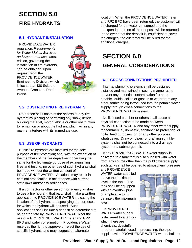# **SECTION 5.0 FIRE HYDRANTS**

#### **5.1 HYDRANT INSTALLATION**

PROVIDENCE WATER regulation*, Requirements for Water Mains, Services and Appurtenances*, latest edition, governing the installation of fire hydrants, can be obtained, upon request, from the PROVIDENCE WATER Engineering Division, which is located at 430 Scituate Avenue, Cranston, Rhode Island.



#### **5.2 OBSTRUCTING FIRE HYDRANTS**

No person shall obstruct the access to any fire hydrant by placing or permitting any snow, debris, building material, motor vehicle or other obstruction to remain on or about the hydrant which will in any manner interfere with its immediate use.

#### **5.3 USE OF HYDRANTS**

Public fire hydrants are installed for the sole purpose of fire protection; and, with the exception of the members of the fire department operating the same for the legitimate purpose of extinguishing fires and testing, no other use of such hydrants shall be made without the written consent of PROVIDENCE WATER. Violations may result in criminal prosecution in accordance with current state laws and/or city ordinances.

If a contractor or other person, or agency, wishes to use a fire hydrant, that party shall make a written application to PROVIDENCE WATER indicating the location of the hydrant and specifying the purposes for which the hydrant will be used. Such applications shall include a deposit as determined to be appropriate by PROVIDENCE WATER for the use of a PROVIDENCE WATER meter and RPZ BPD and water consumption.Providence Water reserves the right to approve or reject the use of specific hydrants and may suggest an alternate

location. When the PROVIDENCE WATER meter and RPZ BPD have been returned, the customer will be charged for the water consumed and the unexpended portion of their deposit will be returned. In the event that the deposit is insufficient to cover the charges, the customer will be billed for the additional charges.

# **SECTION 6.0 GENERAL CONSIDERATIONS**

#### **6.1 CROSS CONNECTIONS PROHIBITED**

Internal plumbing systems shall be designed, installed and maintained in such a manner as to prevent any potential contamination from nonpotable liquids, solids or gasses or water from any other source being introduced into the potable water supply through cross-connections to the PROVIDENCE WATER system.

No licensed plumber or others shall cause a physical connection to be made between PROVIDENCE WATER and any other water supply for commercial, domestic, sanitary, fire protection, or boiler feed purposes, or for any other purpose, whatsoever. Draw off pipes for draining sprinkler systems shall not be connected into a drainage system or a submerged pit.

If any PROVIDENCE WATER water supply is delivered to a tank that is also supplied with water from any source other than the public water supply, such tanks shall be opened to atmospheric pressure and PROVIDENCE

WATER water supplied above the maximum level in the tank. The tank shall be equipped with an overflow pipe of ample size to fix definitely the maximum level.

 If PROVIDENCE WATER water supply is delivered to a tank in which there are chemicals, dyestuffs,



**\_\_\_\_\_\_\_\_\_\_\_\_\_\_\_\_\_\_\_\_\_\_\_\_\_\_\_\_\_\_\_\_\_\_\_\_\_\_\_\_\_\_\_\_\_\_\_\_\_\_\_\_\_\_\_\_\_\_\_\_\_\_\_\_\_\_\_\_\_\_\_\_\_\_\_\_\_\_** supplied with PROVIDENCE WATER water shall notor other materials used in processing, the pipe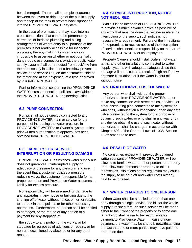be submerged. There shall be ample clearance between the invert or drip edge of the public supply and the top of the tank to prevent back siphonage into the PROVIDENCE WATER system.

In the case of premises that may have internal cross connections that cannot be permanently corrected, or intricate plumbing and piping arrangements or where entry to all portions of the premises is not readily accessible for inspection purposes, thereby making it impracticable or impossible to ascertain whether or not potentially dangerous cross-connections exist, the public water supply system shall be protected from backflow from the premises by installation of a backflow prevention device in the service line, on the customer's side of the meter and at their expense, of a type approved by PROVIDENCE WATER.

Further information concerning the PROVIDENCE WATER's cross-connection policies is available at the PROVIDENCE WATER Engineering Office.

#### **6.2 PUMP CONNECTION**

Pumps shall not be directly connected to any PROVIDENCE WATER main or service for the purpose of increasing the water pressure in PROVIDENCE WATER's or Owner's system unless prior written authorization of approval has been obtained from PROVIDENCE WATER.

#### **6.3 LIABILITY FOR SERVICE INTERRUPTION OR RESULTING DAMAGE**

PROVIDENCE WATER furnishes water supply but does not guarantee uninterrupted supply or adequacy of pressure for any particular end use. In the event that a customer utilizes a pressurereducing valve, the customer is responsible for its proper operation and Providence Water assumes no liability for excess pressure.

No responsibility will be assumed for damage to any apparatus in any house or building due to the shutting off of water without notice, either for repairs to a break in the pipelines or for other necessary operations. Furthermore, no person shall be entitled to damages, or the refund of any portion of a payment for any stoppage of

**\_\_\_\_\_\_\_\_\_\_\_\_\_\_\_\_\_\_\_\_\_\_\_\_\_\_\_\_\_\_\_\_\_\_\_\_\_\_\_\_\_\_\_\_\_\_\_\_\_\_\_\_\_\_\_\_\_\_\_\_\_\_\_\_\_\_\_\_\_\_\_\_\_\_\_\_\_\_** the supply to any portion of the works, or for stoppage for purposes of additions or repairs, or for non-use occasioned by absence or for any other reason.

#### **6.4 SERVICE INTERRUPTION, NOTICE NOT REQUIRED**

While it is the intention of PROVIDENCE WATER to provide as much advance notice as possible of any work that must be done that will necessitate the interruption of the supply, such notice is not necessarily a requirement. Failure of the inhabitants of the premises to receive notice of the interruption of service, shall entail no responsibility on the part of PROVIDENCE WATER or its employees.

Property Owners should install boilers, hot water tanks, and other installations connected to water supply systems with adequate safeguards so that damage will not occur as a result of high and/or low pressure fluctuations or if the water is shut off without notice.

#### **6.5 UNAUTHORIZED USE OF WATER**

Any person who shall, without the proper authorization from PROVIDENCE WATER, tap or make any connection with street mains, services, or other distributing pipe connected to the system; or who shall, without such authorization, open any gate valve connected to the system for the purpose of obtaining such water; or who shall in any way or by any device obtain the use of such water without authorization, shall be charged in accordance with Chapter 608 of the General Laws of 1938, Section 58 as amended to date.

#### **6.6 RESALE OF WATER**

No consumer, except with previously obtained written consent of PROVIDENCE WATER, will be allowed to furnish water to other persons or property or to allow such persons or property to take it themselves. Violations of this regulation may cause the supply to be shut off and water costs already paid to be forfeited.

#### **6.7 WATER CHARGES TO ONE PERSON**

When water shall be supplied to more than one party through a single service, the bill for the whole supply furnished through such service will be made either to the Owner of the property or to some one tenant who shall agree to be responsible for payment to Providence Water. In case of nonpayment, the water may be shut off, notwithstanding the fact that one or more parties may have paid the proportion due.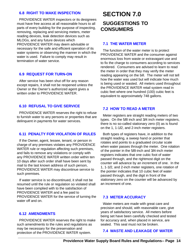#### **6.8 RIGHT TO MAKE INSPECTION**

PROVIDENCE WATER inspectors or its designees must have free access at all reasonable hours to all parts of every building for the purpose of inspecting, removing, replacing and servicing meters, meter reading devices, leak detection devices such as MLOGs, and any future devices which PROVIDENCE WATER may deem advisable or necessary for the safe and efficient operation of its water systems or observing the manner in which the water is used. Failure to comply may result in termination of water service.

#### **6.9 REQUEST FOR TURN-ON**

After service has been shut off for any reason except repairs, it shall not be reopened unless the Owner or the Owner's authorized agent gives a written order to PROVIDENCE WATER.

#### **6.10 REFUSAL TO GIVE SERVICE**

PROVIDENCE WATER reserves the right to refuse to furnish water to any persons or properties that are delinquent in payments for water services.

#### **6.11 PENALTY FOR VIOLATION OF RULES**

If the Owner, agent, lessee, tenant, or person in charge of any premises violates any PROVIDENCE WATER rule or regulation affecting such premises, and fails to remove any violations or comply with any PROVIDENCE WATER written order within ten 10 days after such order shall have been sent by mail to the last known address of such person, PROVIDENCE WATER may discontinue service to such premises.

If water service is so discontinued, it shall not be resumed until the rule or regulation so violated shall have been complied with to the satisfaction of PROVIDENCE WATER and a fee paid to PROVIDENCE WATER for the service of turning the water off and on.

#### **6.12 AMENDMENTS**

**\_\_\_\_\_\_\_\_\_\_\_\_\_\_\_\_\_\_\_\_\_\_\_\_\_\_\_\_\_\_\_\_\_\_\_\_\_\_\_\_\_\_\_\_\_\_\_\_\_\_\_\_\_\_\_\_\_\_\_\_\_\_\_\_\_\_\_\_\_\_\_\_\_\_\_\_\_\_** PROVIDENCE WATER reserves the right to make such amendments to the rules and regulations as may be necessary for the preservation and protection of the PROVIDENCE WATER system.

# **SECTION 7.0 SUGGESTIONS TO CONSUMERS**

#### **7.1 THE WATER METER**

The function of the water meter is to protect PROVIDENCE WATER and the consumer against enormous loss from waste or extravagant use and to fix the charge to consumers according to services rendered. Consumers are advised to learn to read the meter in order that they may verify the meter reading appearing on the bill. The meter will not tell how the water was used but will indicate how much is being used or wasted. All meters used throughout the PROVIDENCE WATER retail system read in cubic feet where one hundred (100) cubic feet is equivalent to approximately 748 gallons.

#### **7.2 HOW TO READ A METER**

Meter registers are straight reading meters of two types. On the 5**/**8 inch and 3**/**4 inch meter registers, there is no so-called stationary zero (0) as is found on the 1, 1-1**/**2, and 2-inch meter registers.

Both types of registers have, in addition to the straight reading, a sweep hand or pointer that rotates and points to a graduated circular scale when water passes through the meter. One rotation of the pointer in the 5**/**8-inch and 3**/**4-inch meter registers indicates that one cubic foot of water passed through, and the rightmost digit on the counter will advance by an increment of one. In the 1, 1-1**/**2, and 2-inch meter registers, one rotation of the pointer indicates that 10 cubic feet of water passed through, and the digit in front of the stationary zero on the counter will be advanced by an increment of one.

#### **7.3 METER ACCURACY**

Water meters are made with great care and precision and should, with reasonable care, give years of satisfactory service. All meters before being set have been carefully checked and tested for accuracy and, when placed in service, are sealed. This seal must not be broken.

#### **7.4 WASTE AND LEAKAGE OF WATER**